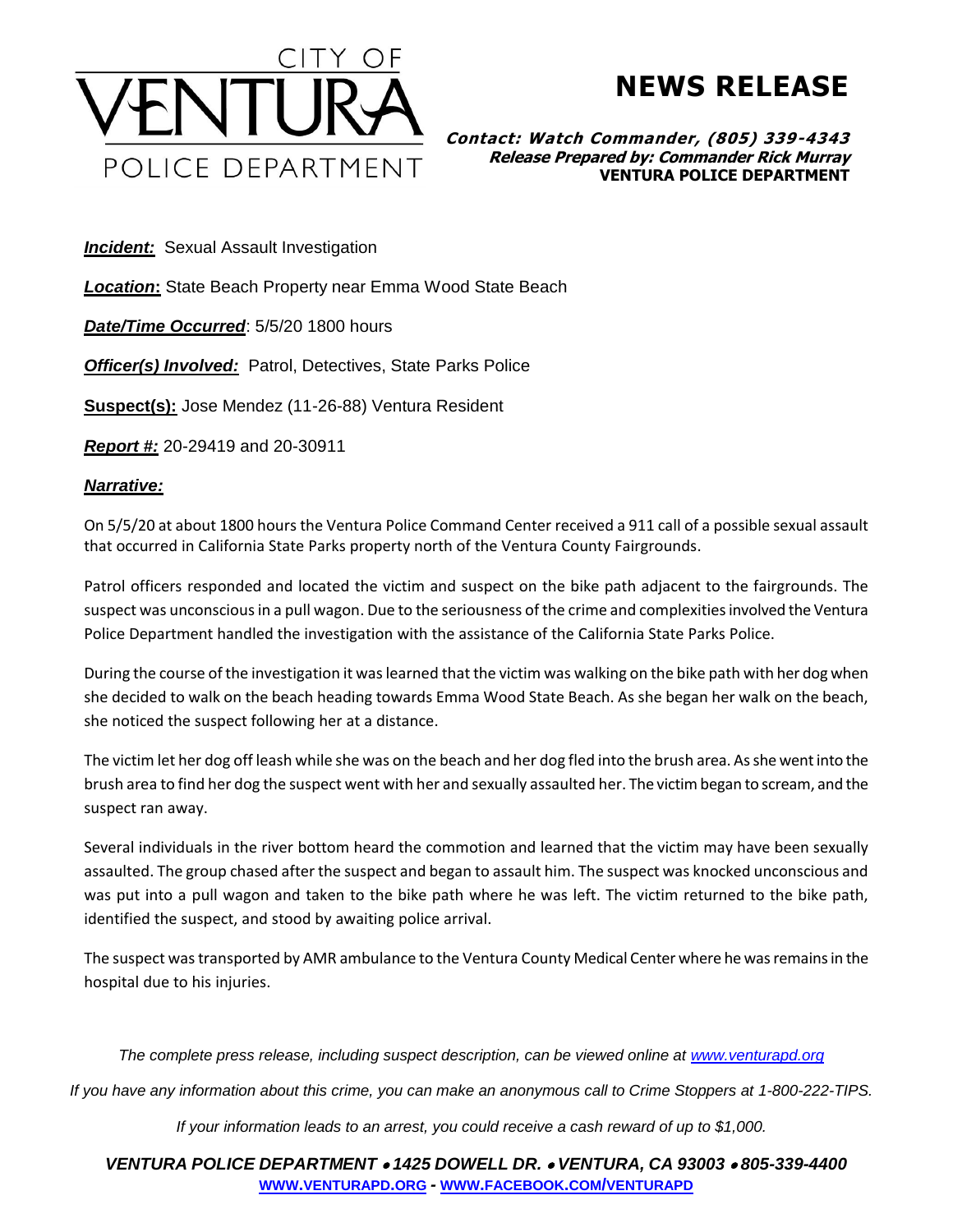

## **NEWS RELEASE**

**Contact: Watch Commander, (805) 339-4343 Release Prepared by: Commander Rick Murray VENTURA POLICE DEPARTMENT**

**Incident:** Sexual Assault Investigation

*Location***:** State Beach Property near Emma Wood State Beach

*Date/Time Occurred*: 5/5/20 1800 hours

**Officer(s) Involved:** Patrol, Detectives, State Parks Police

**Suspect(s):** Jose Mendez (11-26-88) Ventura Resident

*Report #:* 20-29419 and 20-30911

## *Narrative:*

On 5/5/20 at about 1800 hours the Ventura Police Command Center received a 911 call of a possible sexual assault that occurred in California State Parks property north of the Ventura County Fairgrounds.

Patrol officers responded and located the victim and suspect on the bike path adjacent to the fairgrounds. The suspect was unconscious in a pull wagon. Due to the seriousness of the crime and complexities involved the Ventura Police Department handled the investigation with the assistance of the California State Parks Police.

During the course of the investigation it was learned that the victim was walking on the bike path with her dog when she decided to walk on the beach heading towards Emma Wood State Beach. As she began her walk on the beach, she noticed the suspect following her at a distance.

The victim let her dog off leash while she was on the beach and her dog fled into the brush area. Asshe went into the brush area to find her dog the suspect went with her and sexually assaulted her. The victim began to scream, and the suspect ran away.

Several individuals in the river bottom heard the commotion and learned that the victim may have been sexually assaulted. The group chased after the suspect and began to assault him. The suspect was knocked unconscious and was put into a pull wagon and taken to the bike path where he was left. The victim returned to the bike path, identified the suspect, and stood by awaiting police arrival.

The suspect was transported by AMR ambulance to the Ventura County Medical Center where he was remains in the hospital due to his injuries.

*The complete press release, including suspect description, can be viewed online at [www.venturapd.org](http://www.venturapd.org/)*

*If you have any information about this crime, you can make an anonymous call to Crime Stoppers at 1-800-222-TIPS.*

*If your information leads to an arrest, you could receive a cash reward of up to \$1,000.*

*VENTURA POLICE DEPARTMENT* • *1425 DOWELL DR.* • *VENTURA, CA 93003* • *805-339-4400* **WWW.[VENTURAPD](http://www.venturapd.org/).ORG** *-* **WWW.FACEBOOK.COM/[VENTURAPD](http://www.facebook.com/venturapd)**